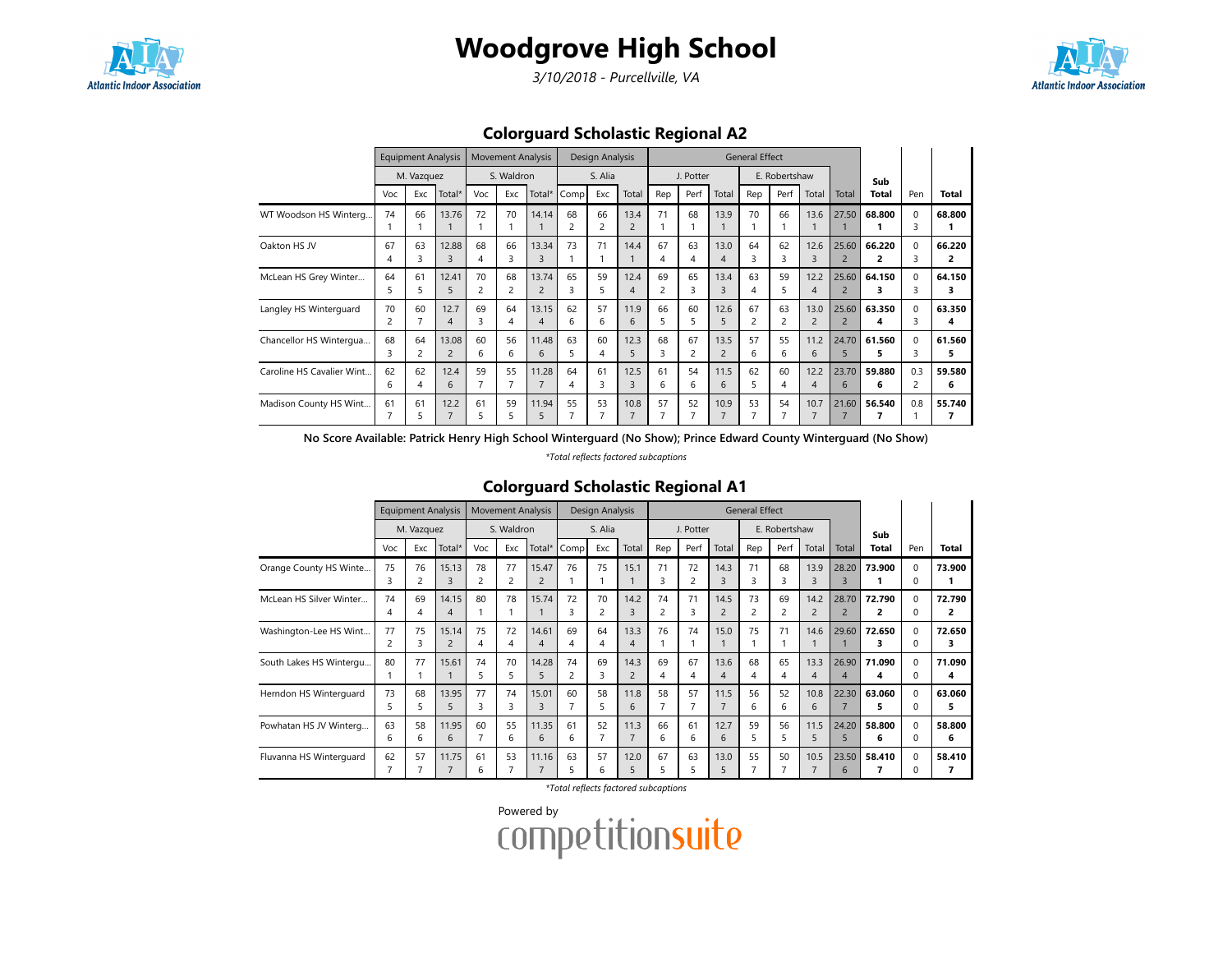

# Woodgrove High School

3/10/2018 - Purcellville, VA



## Colorguard Scholastic Regional A2

|                           |         | <b>Equipment Analysis</b> |                         | <b>Movement Analysis</b> |         |                                   | Design Analysis               |          |                        | <b>General Effect</b> |           |                        |         |               |                        |                         |              |               |             |
|---------------------------|---------|---------------------------|-------------------------|--------------------------|---------|-----------------------------------|-------------------------------|----------|------------------------|-----------------------|-----------|------------------------|---------|---------------|------------------------|-------------------------|--------------|---------------|-------------|
|                           |         | M. Vazquez                |                         | S. Waldron               |         |                                   |                               | S. Alia  |                        |                       | J. Potter |                        |         | E. Robertshaw |                        |                         | Sub          |               |             |
|                           | Voc     | Exc                       | Total*                  | Voc                      | Exc     | Total*                            | Comp                          | Exc      | Total                  | Rep                   | Perf      | Total                  | Rep     | Perf          | Total                  | Total                   | Total        | Pen           | Total       |
| WT Woodson HS Winterg     | 74      | 66                        | 13.76                   | 72                       | 70      | 14.14                             | 68<br>$\overline{\mathbf{c}}$ | 66<br>2  | 13.4<br>$\overline{2}$ | 71                    | 68        | 13.9                   | 70      | 66            | 13.6                   | 27.50                   | 68.800       | $\Omega$<br>3 | 68.800      |
| Oakton HS JV              | 67<br>4 | 63                        | 12.88<br>3              | 68<br>4                  | 66<br>3 | 13.34<br>3                        | 73                            | 71       | 14.4                   | 67<br>4               | 63<br>4   | 13.0<br>$\overline{4}$ | 64<br>3 | 62            | 12.6<br>3              | 25.60<br>$\overline{2}$ | 66.220<br>2  | $\Omega$<br>3 | 66.220<br>2 |
| McLean HS Grey Winter     | 64<br>5 | 61                        | 12.41<br>5              | 70<br>2                  | 68<br>2 | 13.74<br>$\overline{c}$           | 65<br>3                       | 59<br>5. | 12.4<br>4              | 69<br>$\overline{c}$  | 65<br>3   | 13.4<br>$\overline{3}$ | 63<br>4 | 59            | 12.2<br>4              | 25.60<br>$\overline{2}$ | 64.150<br>з  | $\Omega$<br>3 | 64.150<br>3 |
| Langley HS Winterguard    | 70      | 60                        | 12.7<br>4               | 69<br>ς                  | 64<br>4 | 13.15<br>$\boldsymbol{\varDelta}$ | 62<br>6                       | 57<br>6  | 11.9<br>6              | 66<br>5               | 60<br>5   | 12.6<br>5              | 67<br>2 | 63            | 13.0<br>$\overline{2}$ | 25.60<br>$\overline{2}$ | 63.350<br>4  | $\Omega$<br>З | 63.350<br>4 |
| Chancellor HS Wintergua   | 68<br>3 | 64                        | 13.08<br>$\overline{2}$ | 60<br>6                  | 56<br>6 | 11.48<br>6                        | 63<br>5                       | 60<br>4  | 12.3<br>5              | 68<br>3               | 67<br>2   | 13.5<br>$\overline{2}$ | 57<br>6 | 55<br>6       | 11.2<br>6              | 24.70<br>5              | 61.560<br>5. | $\Omega$<br>З | 61.560<br>5 |
| Caroline HS Cavalier Wint | 62<br>6 | 62                        | 12.4<br>6               | 59                       | 55      | 11.28                             | 64<br>4                       | 61       | 12.5<br>3              | 61<br>6               | 54<br>6   | 11.5<br>6              | 62<br>5 | 60            | 12.2<br>4              | 23.70<br>6              | 59.880<br>6  | 0.3           | 59.580<br>6 |
| Madison County HS Wint    | 61      | 61                        | 12.2<br>$\overline{7}$  | 61<br>5                  | 59<br>5 | 11.94<br>5                        | 55                            | 53       | 10.8<br>$\overline{7}$ | 57<br>7               | 52        | 10.9<br>$\overline{7}$ | 53      | 54            | 10.7<br>$\overline{7}$ | 21.60                   | 56.540       | 0.8           | 55.740      |

No Score Available: Patrick Henry High School Winterguard (No Show); Prince Edward County Winterguard (No Show)

\*Total reflects factored subcaptions

### Colorguard Scholastic Regional A1

|                         |                      | <b>Equipment Analysis</b> |                         | <b>Movement Analysis</b> |         |                                   | Design Analysis |                      |                        | <b>General Effect</b> |           |                        |          |               |                        |                         |             |                          |              |
|-------------------------|----------------------|---------------------------|-------------------------|--------------------------|---------|-----------------------------------|-----------------|----------------------|------------------------|-----------------------|-----------|------------------------|----------|---------------|------------------------|-------------------------|-------------|--------------------------|--------------|
|                         |                      | M. Vazquez                |                         | S. Waldron               |         |                                   |                 | S. Alia              |                        |                       | J. Potter |                        |          | E. Robertshaw |                        |                         | Sub         |                          |              |
|                         | Voc                  | Exc                       | Total*                  | Voc                      | Exc     | Total*                            | Comp            | Exc                  | Total                  | Rep                   | Perf      | Total                  | Rep      | Perf          | Total                  | Total                   | Total       | Pen                      | Total        |
| Orange County HS Winte  | 75<br>3              | 76<br>2                   | 15.13<br>3              | 78<br>2                  | 77<br>2 | 15.47                             | 76              | 75                   | 15.1                   | 71<br>3               | 72<br>2   | 14.3<br>$\overline{3}$ | 71<br>3  | 68<br>3       | 13.9<br>3              | 28.20<br>3              | 73.900      | $\Omega$<br>0            | 73.900       |
| McLean HS Silver Winter | 74<br>4              | 69<br>4                   | 14.15<br>4              | 80                       | 78      | 15.74                             | 72<br>3         | 70<br>$\overline{2}$ | 14.2<br>3              | 74<br>$\overline{c}$  | 71<br>3   | 14.5<br>$\overline{2}$ | 73<br>2  | 69<br>2       | 14.2<br>$\overline{2}$ | 28.70<br>$\overline{2}$ | 72.790<br>2 | $\Omega$<br>0            | 72.790<br>2  |
| Washington-Lee HS Wint  | 77<br>$\overline{c}$ | 75<br>3                   | 15.14<br>$\overline{2}$ | 75<br>4                  | 72<br>4 | 14.61<br>$\overline{\mathcal{A}}$ | 69<br>4         | 64<br>4              | 13.3<br>$\overline{4}$ | 76                    | 74        | 15.0                   | 75       | 71            | 14.6                   | 29.60                   | 72.650<br>3 | $\Omega$<br>0            | 72.650<br>3  |
| South Lakes HS Wintergu | 80                   | 77                        | 15.61                   | 74<br>5                  | 70<br>5 | 14.28<br>5                        | 74              | 69<br>3              | 14.3<br>$\overline{2}$ | 69<br>4               | 67<br>4   | 13.6<br>4              | 68<br>4  | 65<br>4       | 13.3<br>4              | 26.90<br>4              | 71.090<br>4 | $\Omega$<br>$\Omega$     | 71.090<br>4  |
| Herndon HS Winterguard  | 73<br>5.             | 68<br>5                   | 13.95<br>5              | 77<br>3                  | 74<br>3 | 15.01<br>$\overline{3}$           | 60              | 58<br>5              | 11.8<br>6              | 58<br>7               | 57        | 11.5                   | 56<br>6. | 52<br>6       | 10.8<br>6              | 22.30                   | 63.060<br>5 | $\Omega$<br><sup>0</sup> | 63.060<br>5. |
| Powhatan HS JV Winterg  | 63<br>6              | 58<br>6                   | 11.95<br>6              | 60<br>7                  | 55<br>6 | 11.35<br>6                        | 61<br>6         | 52<br>7              | 11.3<br>$\overline{7}$ | 66<br>6               | 61<br>6   | 12.7<br>6              | 59<br>5. | 56<br>5.      | 11.5<br>5              | 24.20<br>5              | 58.800<br>6 | 0<br>$\Omega$            | 58.800<br>6  |
| Fluvanna HS Winterguard | 62                   | 57                        | 11.75<br>7              | 61<br>6                  | 53      | 11.16                             | 63              | 57<br>6              | 12.0<br>5              | 67<br>5               | 63<br>5   | 13.0<br>5              | 55       | 50            | 10.5<br>$\overline{7}$ | 23.50<br>6              | 58.410      | $\Omega$<br>0            | 58.410       |

\*Total reflects factored subcaptions

Powered by<br>COMPetitionsuite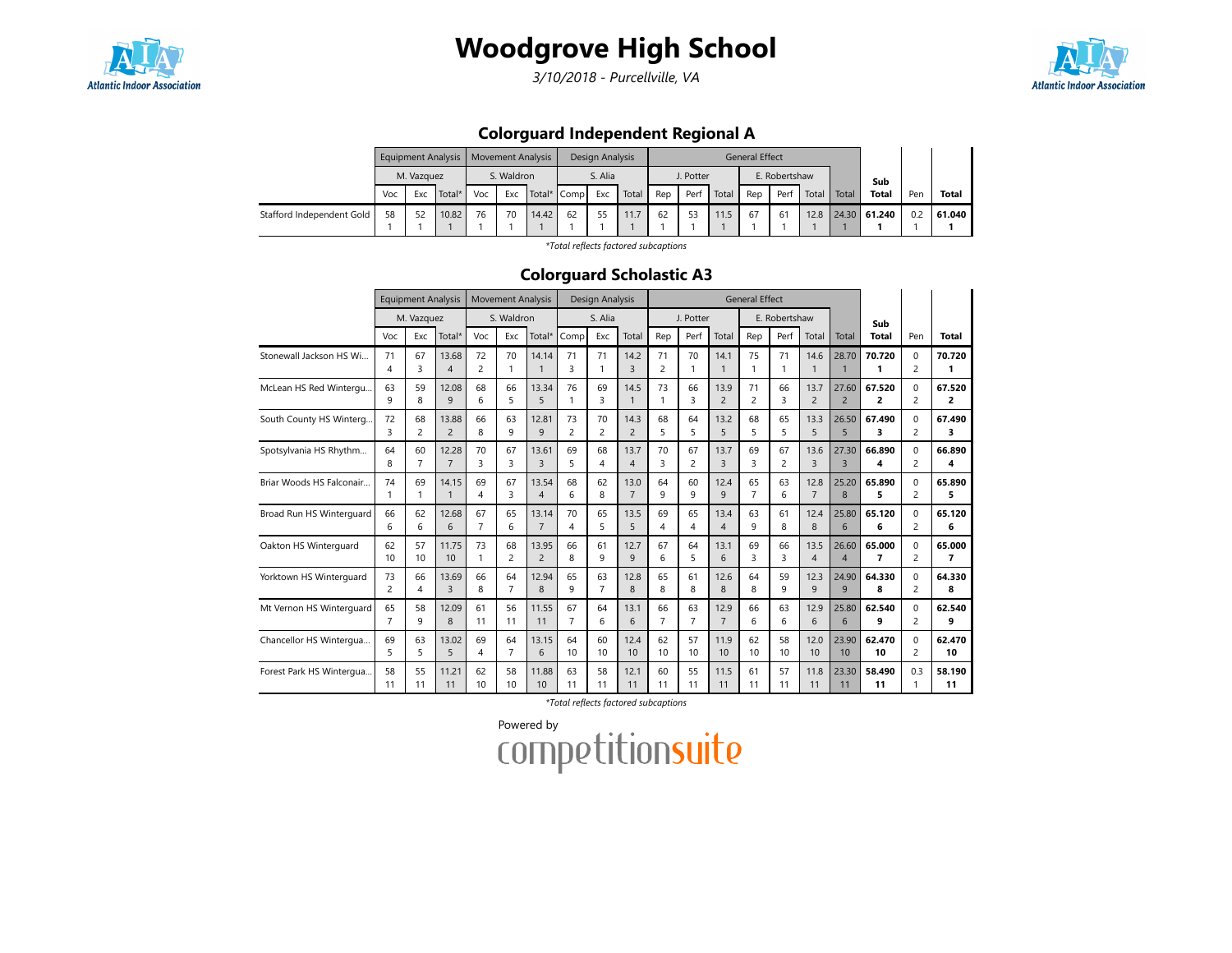

# Woodgrove High School

3/10/2018 - Purcellville, VA



## Colorguard Independent Regional A

|                           | Equipment Analysis   Movement Analysis |    |       |            |     |       |                    | Design Analysis |       | <b>General Effect</b> |    |       |               |               |      |       |              |     |        |
|---------------------------|----------------------------------------|----|-------|------------|-----|-------|--------------------|-----------------|-------|-----------------------|----|-------|---------------|---------------|------|-------|--------------|-----|--------|
|                           | M. Vazguez                             |    |       | S. Waldron |     |       | S. Alia            |                 |       | J. Potter             |    |       | E. Robertshaw |               |      |       | Sub          |     |        |
|                           | Total*<br>Exc<br>Voc                   |    |       | Voc        | Exc |       | Total* Comp<br>Exc |                 | Total | Perf<br>Rep           |    | Total | Rep           | Perf<br>Total |      | Total | <b>Total</b> | Pen | Total  |
| Stafford Independent Gold | 58                                     | 52 | 10.82 | 76         | 70  | 14.42 | 62                 | 55              |       | 62                    | 53 | 11.5  | 67            | 61            | 12.8 |       | 24.30 61.240 | 0.2 | 61.040 |
|                           |                                        |    |       |            |     |       |                    |                 |       |                       |    |       |               |               |      |       |              |     |        |

\*Total reflects factored subcaptions

#### Colorguard Scholastic A3

|                          |                | <b>Equipment Analysis</b> |                         | <b>Movement Analysis</b> |                |                         | Design Analysis |                | <b>General Effect</b>  |                      |                |                      |                      |                |                        |                         |              |                     |              |
|--------------------------|----------------|---------------------------|-------------------------|--------------------------|----------------|-------------------------|-----------------|----------------|------------------------|----------------------|----------------|----------------------|----------------------|----------------|------------------------|-------------------------|--------------|---------------------|--------------|
|                          |                | M. Vazquez                |                         |                          | S. Waldron     |                         |                 | S. Alia        |                        |                      | J. Potter      |                      |                      | E. Robertshaw  |                        |                         | Sub          |                     |              |
|                          | Voc            | Exc                       | Total*                  | Voc                      | Exc            | Total*                  | Comp            | Exc            | Total                  | Rep                  | Perf           | Total                | Rep                  | Perf           | Total                  | Total                   | Total        | Pen                 | <b>Total</b> |
| Stonewall Jackson HS Wi  | 71<br>4        | 67<br>3                   | 13.68<br>$\overline{4}$ | 72<br>$\overline{c}$     | 70<br>1        | 14.14<br>$\mathbf{1}$   | 71<br>3         | 71             | 14.2<br>3              | 71<br>$\overline{c}$ | 70<br>1        | 14.1<br>$\mathbf{1}$ | 75<br>1              | 71             | 14.6<br>$\mathbf{1}$   | 28.70<br>$\overline{1}$ | 70.720<br>1  | 0<br>$\overline{c}$ | 70.720       |
| McLean HS Red Wintergu   | 63             | 59                        | 12.08                   | 68                       | 66             | 13.34                   | 76              | 69             | 14.5                   | 73                   | 66             | 13.9                 | 71                   | 66             | 13.7                   | 27.60                   | 67.520       | 0                   | 67.520       |
|                          | 9              | 8                         | 9                       | 6                        | 5              | 5                       | 1               | 3              | $\mathbf{1}$           | 1                    | 3              | $\overline{c}$       | 2                    | 3              | $\overline{2}$         | $\overline{2}$          | 2            | 2                   | 2            |
| South County HS Winterg  | 72             | 68                        | 13.88                   | 66                       | 63             | 12.81                   | 73              | 70             | 14.3                   | 68                   | 64             | 13.2                 | 68                   | 65             | 13.3                   | 26.50                   | 67.490       | $\mathbf 0$         | 67.490       |
|                          | ς              | 2                         | $\overline{2}$          | 8                        | 9              | 9                       | $\overline{c}$  | $\overline{2}$ | $\overline{2}$         | 5                    | 5              | 5                    | 5                    | 5              | 5                      | 5                       | 3            | $\overline{c}$      | з            |
| Spotsylvania HS Rhythm   | 64             | 60                        | 12.28                   | 70                       | 67             | 13.61                   | 69              | 68             | 13.7                   | 70                   | 67             | 13.7                 | 69                   | 67             | 13.6                   | 27.30                   | 66.890       | $\Omega$            | 66.890       |
|                          | 8              | 7                         | $\overline{7}$          | 3                        | 3              | $\overline{3}$          | 5               | 4              | $\overline{4}$         | 3                    | $\overline{c}$ | $\overline{3}$       | 3                    | $\overline{c}$ | 3                      | $\overline{3}$          | 4            | $\overline{c}$      | 4            |
| Briar Woods HS Falconair | 74<br>1        | 69                        | 14.15<br>$\mathbf{1}$   | 69<br>4                  | 67<br>3        | 13.54<br>$\overline{4}$ | 68<br>6         | 62<br>8        | 13.0<br>$\overline{7}$ | 64<br>9              | 60<br>9        | 12.4<br>9            | 65<br>$\overline{7}$ | 63<br>6        | 12.8<br>$\overline{7}$ | 25.20<br>8              | 65.890<br>5  | $\Omega$<br>2       | 65.890<br>5  |
| Broad Run HS Winterguard | 66             | 62                        | 12.68                   | 67                       | 65             | 13.14                   | 70              | 65             | 13.5                   | 69                   | 65             | 13.4                 | 63                   | 61             | 12.4                   | 25.80                   | 65.120       | $\Omega$            | 65.120       |
|                          | 6              | 6                         | 6                       | $\overline{7}$           | 6              | $\overline{7}$          | 4               | 5              | 5                      | 4                    | 4              | $\overline{4}$       | 9                    | 8              | 8                      | 6                       | 6            | $\overline{2}$      | 6            |
| Oakton HS Winterguard    | 62             | 57                        | 11.75                   | 73                       | 68             | 13.95                   | 66              | 61             | 12.7                   | 67                   | 64             | 13.1                 | 69                   | 66             | 13.5                   | 26.60                   | 65.000       | $\Omega$            | 65.000       |
|                          | 10             | 10                        | 10                      | 1                        | $\overline{c}$ | $\overline{c}$          | 8               | 9              | 9                      | 6                    | 5              | 6                    | 3                    | 3              | $\overline{4}$         | $\overline{4}$          | 7            | 2                   | 7            |
| Yorktown HS Winterguard  | 73             | 66                        | 13.69                   | 66                       | 64             | 12.94                   | 65              | 63             | 12.8                   | 65                   | 61             | 12.6                 | 64                   | 59             | 12.3                   | 24.90                   | 64.330       | $\Omega$            | 64.330       |
|                          | 2              | 4                         | 3                       | 8                        | $\overline{7}$ | 8                       | 9               | $\overline{7}$ | 8                      | 8                    | 8              | 8                    | 8                    | 9              | 9                      | 9                       | 8            | $\overline{c}$      | 8            |
| Mt Vernon HS Winterquard | 65             | 58                        | 12.09                   | 61                       | 56             | 11.55                   | 67              | 64             | 13.1                   | 66                   | 63             | 12.9                 | 66                   | 63             | 12.9                   | 25.80                   | 62.540       | $\Omega$            | 62.540       |
|                          | $\overline{7}$ | 9                         | 8                       | 11                       | 11             | 11                      | $\overline{7}$  | 6              | 6                      | $\overline{7}$       | $\overline{7}$ | $\overline{7}$       | 6                    | 6              | 6                      | 6                       | 9            | $\overline{2}$      | 9            |
| Chancellor HS Wintergua  | 69             | 63                        | 13.02                   | 69                       | 64             | 13.15                   | 64              | 60             | 12.4                   | 62                   | 57             | 11.9                 | 62                   | 58             | 12.0                   | 23.90                   | 62.470       | $\Omega$            | 62.470       |
|                          | 5              | 5                         | 5                       | 4                        | $\overline{7}$ | 6                       | 10              | 10             | 10                     | 10                   | 10             | 10                   | 10                   | 10             | 10                     | 10                      | 10           | $\overline{c}$      | 10           |
| Forest Park HS Wintergua | 58<br>11       | 55<br>11                  | 11.21<br>11             | 62<br>10                 | 58<br>10       | 11.88<br>10             | 63<br>11        | 58<br>11       | 12.1<br>11             | 60<br>11             | 55<br>11       | 11.5<br>11           | 61<br>11             | 57<br>11       | 11.8<br>11             | 23.30<br>11             | 58.490<br>11 | 0.3                 | 58.190<br>11 |

\*Total reflects factored subcaptions

Powered by<br>COMPetitionsuite